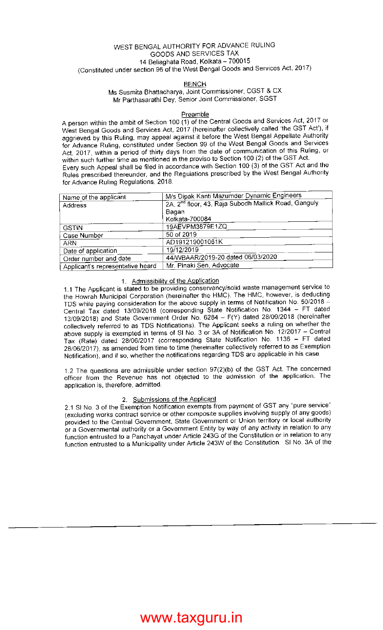### WEST BENGAL AUTHORITY FOR ADVANCE RULING GOODS AND SERVICES TAx 14 Beliaghata Road, Kolkata - 700015 (Constituted under section 96 of the West Bengal Goods and Services Act, 2017)

### BENCH

### Ms Susmita Bhattacharya, Joint Commissioner, CGST & CX Mr Parthasarathi Dey, Senior Joint Commissioner, SGST

### **Preamble**

<sup>A</sup>person within the ambit of Section 1OO (1) of the Central Goods and Services Act, 2017 or West Bengal Goods and Services Act, 2017 (hereinafter collectively called 'the GST Act'), if aggrieved by this Ruling, may appeal against it before the West Bengal Appellate Authority for Advance Ruling, constituted under Section 99 of the West Bengal Goods and Services Act, 2017, within a period of thirty days from the date of communication of this Ruling, or within such further time as mentioned in the proviso to Section 100 (2) of the GST Act. Every such Appeal shall be filed in accordance with Section 100 (3) of the GST Act and the Rules prescribed thereunder, and the Regulations prescribed by the West Bengal Authority for Advance Ruling Regulations, 2018.

| Name of the applicant            | M/s Dipak Kanti Mazumder Dynamic Engineers                       |
|----------------------------------|------------------------------------------------------------------|
| Address                          | 2A, 2 <sup>nd</sup> floor, 43, Raja Subodh Mallick Road, Ganguly |
|                                  | Bagan                                                            |
|                                  | Kolkata-700084                                                   |
| <b>GSTIN</b>                     | 19AEVPM3879E1ZQ                                                  |
| Case Number                      | 50 of 2019                                                       |
| ARN                              | AD191219001061K                                                  |
| Date of application              | 19/12/2019                                                       |
| Order number and date            | 44/WBAAR/2019-20 dated 06/03/2020                                |
| Applicant's representative heard | Mr. Pinaki Sen, Advocate                                         |

### 1. Admissibilitv of the Application

1.1 The Applicant is stated to be providing conservancy/solid waste management service to the Howrah Municipal Corporation (hereinafter the HMC). The HMC, however, is deducting TDS while paying consideration for the above supply in terms of Notification No. 50/2018 -Central Tax dated 13/09/2018 (corresponding State Notification No. 1344 - FT dated 13/09/2018) and State Government Order No. 6284 - F(Y) dated 28/09/2018 (hereinafter collectively referred to as TDS Notifications). The Applicant seeks a ruling on whether the above supply is exempted in terms of SI No. 3 or 3A of Notification No. 12/2017 - Central Tax (Rate) dated 28/06/2017 (corresponding State Notification No. 1136 - FT dated 28/06/2017), as amended from time to time (hereinafter collectively referred to as Exemption Notification), and if so, whether the notifications regarding TDS are applicable in his case.

1.2 The questions are admissible under section  $97(2)(b)$  of the GST Act. The concerned officer from the Revenue has not objected to the admission of the application. The application is, therefore, admitted.

### 2. Submissions of the Applicant

2.1 Sl No. 3 of the Exemption Notification exempts from payment of GST any "pure service" (excluding works contraci service or other composite supplies involving supply of any goods) provided io the Central Government, State Government or Union territory or local authority or a Governmental authority or a Government Entity by way of any activity in relation to any function entrusted to a Panchayat under Article 243G of the Constitution or in relation to any function entrusted to a Municipality under Article 243W of the Constitution. Sl No. 3A of the

# www.taxguru.in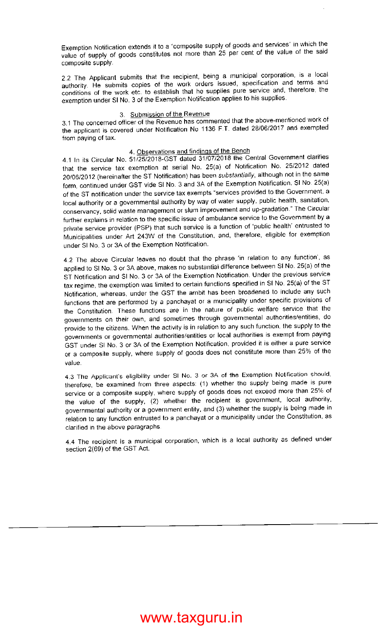Exemption Notification extends it to a "composite supply\_of goods and services" in which the value of supply of goods constitutes not more than 25 per cent of the value of the said composite supply.

2.2 The Applicant submits that the recipient, being a municipal corporation, is a local authority. He submits copies of the work orders issued, specification and terms and conditions of the work etc. to establish that he supplies pure service and, therefore, the exemption under sl No. 3 of the Exemption Notification applies to his supplies.

### 3. Submission of the Revenue

3.1 The concerned officer of the Revenue has commented that the above-mentioned work of the applicant is covered under Notification No 1136 F.T. dated 28/06/2017 and exempted from paying of tax.

#### 4. Observations and findinqs of the Bench

4.1 In its Circular No. 51/25/2018-GST dated 31/07/2018 the Central Government clarifies that the service tax exemption at serial No. 25(a) of Notification No. 2512012 dated 20/06/2012 (hereinafter the ST Notification) has been substantially, although not in the same form, continued under GST vide Sl No. 3 and 3A of the Exemption Notification. Sl No. 25(a) of the ST notification under the service tax exempts "services provided to the Government, <sup>a</sup> local authority or a governmental authority by way of water supply, public health, sanitation, conservancy, solid waste management or slum improvement and up-gradation." The circular further explains in relation to the specific issue of ambulance service to the Government by <sup>a</sup> private service provider (PSP) that such service is a function of 'public health' entrusted to Municipalities under Art 243W of the Constitution, and, therefore, eligible for exemption under Sl No. 3 or 34 of the Exemption Notification.

4.2 The above Circular leaves no doubt that the phrase 'in relation to any function', as applied to Sl No. 3 or 3A above, makes no substantial difference between Sl No. 25(a) of the ST Notification and Sl No. 3 or 3A of the Exemption Notification. Under the previous service tax regime, the exemption was limited to certain functions specified in Sl No. 25(a) of the ST Notification, whereas, under the GST the ambit has been broadened to include any such functions that are performed by a panchayat or a municipality under specific provisions of the Constitution. These functions are in the nature of public welfare service that the governments on their own, and sometimes through governmental authorities/entities, do provide to the citizens. When the activity is in relation to any such function, the supply to the governments or governmental authorities/entities or local authorities is exempt from paying GST under Sl No. 3 or 3A of the Exemption Notification, provided it is either a pure service or a composite supply, where supply of goods does not constitute more than 25% of lhe value.

4.3 The Applicant's eligibility under SI No. 3 or 3A of the Exemption Notification should, therefore, be examined from three aspects: (1) whether the supply being made is pure service or a composite supply, where supply of goods does not exceed more than 25% of the value of the supply, (2) whether the recipient is government, local authority, governmental authority or a government entity, and (3) whether the supply is being made in relation to any function entrusted to a panchayat or a municipality under the Constitution, as clarified in the above paragraphs.

4.4 The recipient is a municipal corporation, which is a local authority as defined under section 2(69) of the GST Act.

# www.taxguru.in